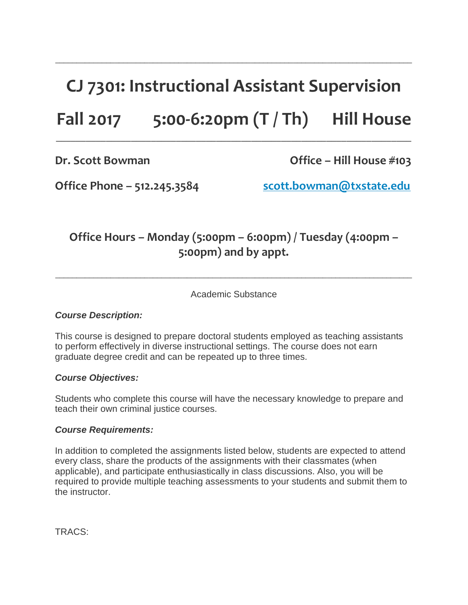# **CJ 7301: Instructional Assistant Supervision**

\_\_\_\_\_\_\_\_\_\_\_\_\_\_\_\_\_\_\_\_\_\_\_\_\_\_\_\_\_\_\_\_\_\_\_\_\_\_\_\_\_\_\_\_\_\_\_\_\_\_\_\_\_\_\_\_\_\_\_\_\_\_\_\_\_\_\_\_\_\_\_\_\_\_\_\_\_\_\_\_\_\_\_\_

# **Fall 2017 5:00-6:20pm (T / Th) Hill House**

 $\_$  , and the state of the state of the state of the state of the state of the state of the state of the state of the state of the state of the state of the state of the state of the state of the state of the state of the

**Dr. Scott Bowman Office – Hill House #103**

**Office Phone – 512.245.3584 [scott.bowman@txstate.edu](mailto:scott.bowman@txstate.edu)**

### **Office Hours – Monday (5:00pm – 6:00pm) / Tuesday (4:00pm – 5:00pm) and by appt.**

Academic Substance

 $\_$  ,  $\_$  ,  $\_$  ,  $\_$  ,  $\_$  ,  $\_$  ,  $\_$  ,  $\_$  ,  $\_$  ,  $\_$  ,  $\_$  ,  $\_$  ,  $\_$  ,  $\_$  ,  $\_$  ,  $\_$  ,  $\_$  ,  $\_$  ,  $\_$  ,  $\_$  ,  $\_$  ,  $\_$  ,  $\_$  ,  $\_$  ,  $\_$  ,  $\_$  ,  $\_$  ,  $\_$  ,  $\_$  ,  $\_$  ,  $\_$  ,  $\_$  ,  $\_$  ,  $\_$  ,  $\_$  ,  $\_$  ,  $\_$  ,

### *Course Description:*

This course is designed to prepare doctoral students employed as teaching assistants to perform effectively in diverse instructional settings. The course does not earn graduate degree credit and can be repeated up to three times.

### *Course Objectives:*

Students who complete this course will have the necessary knowledge to prepare and teach their own criminal justice courses.

#### *Course Requirements:*

In addition to completed the assignments listed below, students are expected to attend every class, share the products of the assignments with their classmates (when applicable), and participate enthusiastically in class discussions. Also, you will be required to provide multiple teaching assessments to your students and submit them to the instructor.

TRACS: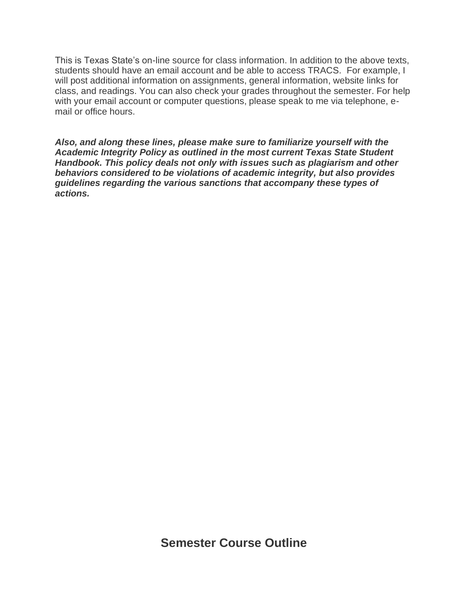This is Texas State's on-line source for class information. In addition to the above texts, students should have an email account and be able to access TRACS. For example, I will post additional information on assignments, general information, website links for class, and readings. You can also check your grades throughout the semester. For help with your email account or computer questions, please speak to me via telephone, email or office hours.

*Also, and along these lines, please make sure to familiarize yourself with the Academic Integrity Policy as outlined in the most current Texas State Student Handbook. This policy deals not only with issues such as plagiarism and other behaviors considered to be violations of academic integrity, but also provides guidelines regarding the various sanctions that accompany these types of actions.*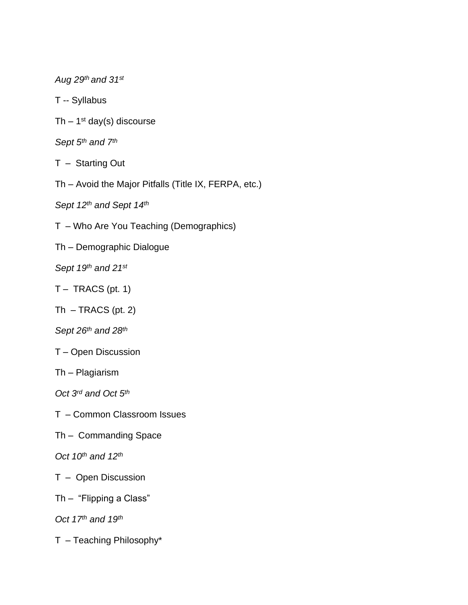*Aug 29 th and 31st*

T -- Syllabus

Th  $-1<sup>st</sup>$  day(s) discourse

*Sept 5 th and 7 th*

T – Starting Out

Th – Avoid the Major Pitfalls (Title IX, FERPA, etc.)

*Sept 12th and Sept 14 th*

T – Who Are You Teaching (Demographics)

Th – Demographic Dialogue

*Sept 19 th and 21st*

 $T -$  TRACS (pt. 1)

 $Th - TRACS (pt. 2)$ 

*Sept 26 th and 28 th*

T – Open Discussion

Th – Plagiarism

*Oct 3 rd and Oct 5 th*

T – Common Classroom Issues

Th – Commanding Space

*Oct 10th and 12th*

T – Open Discussion

Th – "Flipping a Class"

*Oct 17 th and 19 th*

T – Teaching Philosophy\*